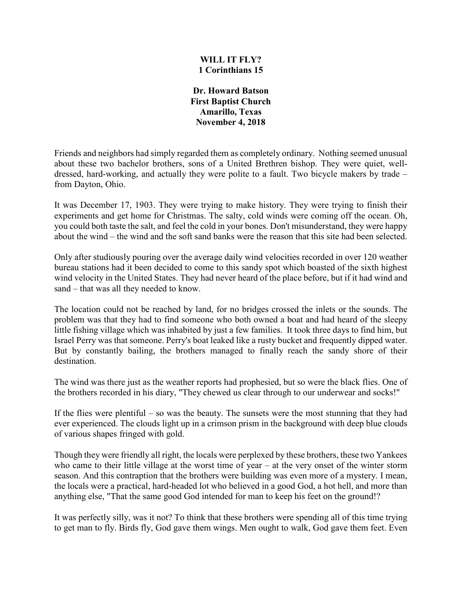## **WILL IT FLY? 1 Corinthians 15**

**Dr. Howard Batson First Baptist Church Amarillo, Texas November 4, 2018**

Friends and neighbors had simply regarded them as completely ordinary. Nothing seemed unusual about these two bachelor brothers, sons of a United Brethren bishop. They were quiet, welldressed, hard-working, and actually they were polite to a fault. Two bicycle makers by trade – from Dayton, Ohio.

It was December 17, 1903. They were trying to make history. They were trying to finish their experiments and get home for Christmas. The salty, cold winds were coming off the ocean. Oh, you could both taste the salt, and feel the cold in your bones. Don't misunderstand, they were happy about the wind – the wind and the soft sand banks were the reason that this site had been selected.

Only after studiously pouring over the average daily wind velocities recorded in over 120 weather bureau stations had it been decided to come to this sandy spot which boasted of the sixth highest wind velocity in the United States. They had never heard of the place before, but if it had wind and sand – that was all they needed to know.

The location could not be reached by land, for no bridges crossed the inlets or the sounds. The problem was that they had to find someone who both owned a boat and had heard of the sleepy little fishing village which was inhabited by just a few families. It took three days to find him, but Israel Perry was that someone. Perry's boat leaked like a rusty bucket and frequently dipped water. But by constantly bailing, the brothers managed to finally reach the sandy shore of their destination.

The wind was there just as the weather reports had prophesied, but so were the black flies. One of the brothers recorded in his diary, "They chewed us clear through to our underwear and socks!"

If the flies were plentiful – so was the beauty. The sunsets were the most stunning that they had ever experienced. The clouds light up in a crimson prism in the background with deep blue clouds of various shapes fringed with gold.

Though they were friendly all right, the locals were perplexed by these brothers, these two Yankees who came to their little village at the worst time of year – at the very onset of the winter storm season. And this contraption that the brothers were building was even more of a mystery. I mean, the locals were a practical, hard-headed lot who believed in a good God, a hot hell, and more than anything else, "That the same good God intended for man to keep his feet on the ground!?

It was perfectly silly, was it not? To think that these brothers were spending all of this time trying to get man to fly. Birds fly, God gave them wings. Men ought to walk, God gave them feet. Even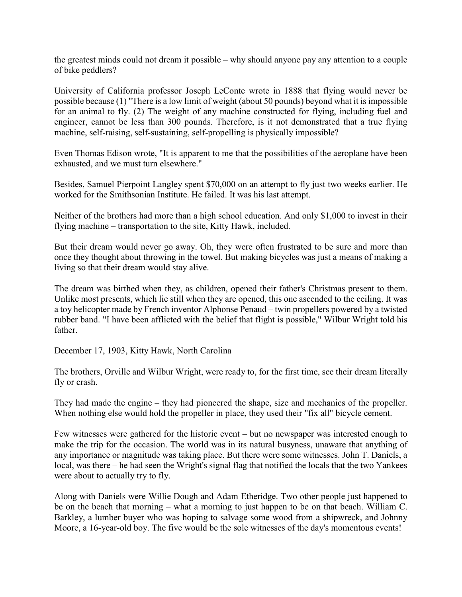the greatest minds could not dream it possible – why should anyone pay any attention to a couple of bike peddlers?

University of California professor Joseph LeConte wrote in 1888 that flying would never be possible because (1) "There is a low limit of weight (about 50 pounds) beyond what it is impossible for an animal to fly. (2) The weight of any machine constructed for flying, including fuel and engineer, cannot be less than 300 pounds. Therefore, is it not demonstrated that a true flying machine, self-raising, self-sustaining, self-propelling is physically impossible?

Even Thomas Edison wrote, "It is apparent to me that the possibilities of the aeroplane have been exhausted, and we must turn elsewhere."

Besides, Samuel Pierpoint Langley spent \$70,000 on an attempt to fly just two weeks earlier. He worked for the Smithsonian Institute. He failed. It was his last attempt.

Neither of the brothers had more than a high school education. And only \$1,000 to invest in their flying machine – transportation to the site, Kitty Hawk, included.

But their dream would never go away. Oh, they were often frustrated to be sure and more than once they thought about throwing in the towel. But making bicycles was just a means of making a living so that their dream would stay alive.

The dream was birthed when they, as children, opened their father's Christmas present to them. Unlike most presents, which lie still when they are opened, this one ascended to the ceiling. It was a toy helicopter made by French inventor Alphonse Penaud – twin propellers powered by a twisted rubber band. "I have been afflicted with the belief that flight is possible," Wilbur Wright told his father.

December 17, 1903, Kitty Hawk, North Carolina

The brothers, Orville and Wilbur Wright, were ready to, for the first time, see their dream literally fly or crash.

They had made the engine – they had pioneered the shape, size and mechanics of the propeller. When nothing else would hold the propeller in place, they used their "fix all" bicycle cement.

Few witnesses were gathered for the historic event – but no newspaper was interested enough to make the trip for the occasion. The world was in its natural busyness, unaware that anything of any importance or magnitude was taking place. But there were some witnesses. John T. Daniels, a local, was there – he had seen the Wright's signal flag that notified the locals that the two Yankees were about to actually try to fly.

Along with Daniels were Willie Dough and Adam Etheridge. Two other people just happened to be on the beach that morning – what a morning to just happen to be on that beach. William C. Barkley, a lumber buyer who was hoping to salvage some wood from a shipwreck, and Johnny Moore, a 16-year-old boy. The five would be the sole witnesses of the day's momentous events!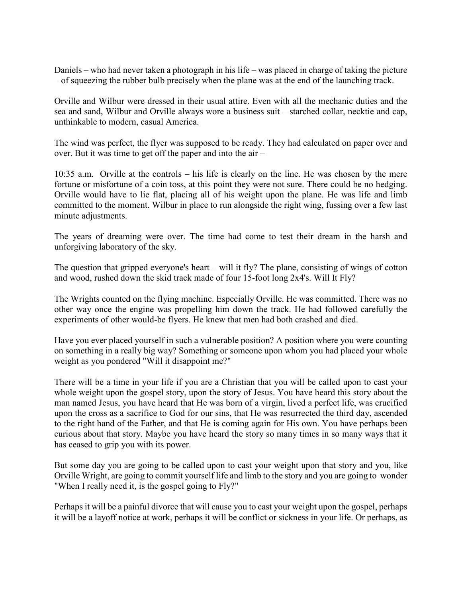Daniels – who had never taken a photograph in his life – was placed in charge of taking the picture – of squeezing the rubber bulb precisely when the plane was at the end of the launching track.

Orville and Wilbur were dressed in their usual attire. Even with all the mechanic duties and the sea and sand, Wilbur and Orville always wore a business suit – starched collar, necktie and cap, unthinkable to modern, casual America.

The wind was perfect, the flyer was supposed to be ready. They had calculated on paper over and over. But it was time to get off the paper and into the air –

10:35 a.m. Orville at the controls – his life is clearly on the line. He was chosen by the mere fortune or misfortune of a coin toss, at this point they were not sure. There could be no hedging. Orville would have to lie flat, placing all of his weight upon the plane. He was life and limb committed to the moment. Wilbur in place to run alongside the right wing, fussing over a few last minute adjustments.

The years of dreaming were over. The time had come to test their dream in the harsh and unforgiving laboratory of the sky.

The question that gripped everyone's heart – will it fly? The plane, consisting of wings of cotton and wood, rushed down the skid track made of four 15-foot long 2x4's. Will It Fly?

The Wrights counted on the flying machine. Especially Orville. He was committed. There was no other way once the engine was propelling him down the track. He had followed carefully the experiments of other would-be flyers. He knew that men had both crashed and died.

Have you ever placed yourself in such a vulnerable position? A position where you were counting on something in a really big way? Something or someone upon whom you had placed your whole weight as you pondered "Will it disappoint me?"

There will be a time in your life if you are a Christian that you will be called upon to cast your whole weight upon the gospel story, upon the story of Jesus. You have heard this story about the man named Jesus, you have heard that He was born of a virgin, lived a perfect life, was crucified upon the cross as a sacrifice to God for our sins, that He was resurrected the third day, ascended to the right hand of the Father, and that He is coming again for His own. You have perhaps been curious about that story. Maybe you have heard the story so many times in so many ways that it has ceased to grip you with its power.

But some day you are going to be called upon to cast your weight upon that story and you, like Orville Wright, are going to commit yourself life and limb to the story and you are going to wonder "When I really need it, is the gospel going to Fly?"

Perhaps it will be a painful divorce that will cause you to cast your weight upon the gospel, perhaps it will be a layoff notice at work, perhaps it will be conflict or sickness in your life. Or perhaps, as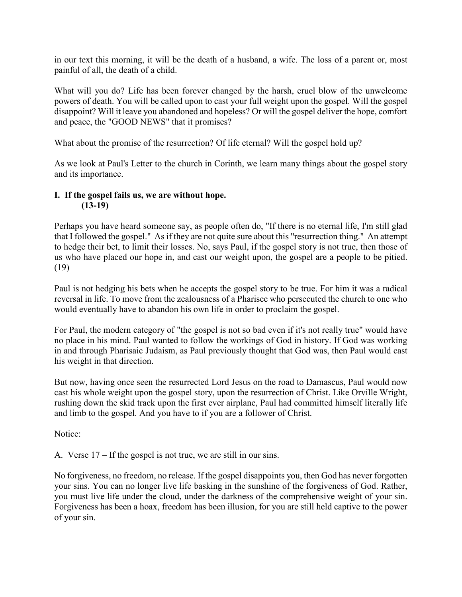in our text this morning, it will be the death of a husband, a wife. The loss of a parent or, most painful of all, the death of a child.

What will you do? Life has been forever changed by the harsh, cruel blow of the unwelcome powers of death. You will be called upon to cast your full weight upon the gospel. Will the gospel disappoint? Will it leave you abandoned and hopeless? Or will the gospel deliver the hope, comfort and peace, the "GOOD NEWS" that it promises?

What about the promise of the resurrection? Of life eternal? Will the gospel hold up?

As we look at Paul's Letter to the church in Corinth, we learn many things about the gospel story and its importance.

## **I. If the gospel fails us, we are without hope. (13-19)**

Perhaps you have heard someone say, as people often do, "If there is no eternal life, I'm still glad that I followed the gospel." As if they are not quite sure about this "resurrection thing." An attempt to hedge their bet, to limit their losses. No, says Paul, if the gospel story is not true, then those of us who have placed our hope in, and cast our weight upon, the gospel are a people to be pitied. (19)

Paul is not hedging his bets when he accepts the gospel story to be true. For him it was a radical reversal in life. To move from the zealousness of a Pharisee who persecuted the church to one who would eventually have to abandon his own life in order to proclaim the gospel.

For Paul, the modern category of "the gospel is not so bad even if it's not really true" would have no place in his mind. Paul wanted to follow the workings of God in history. If God was working in and through Pharisaic Judaism, as Paul previously thought that God was, then Paul would cast his weight in that direction.

But now, having once seen the resurrected Lord Jesus on the road to Damascus, Paul would now cast his whole weight upon the gospel story, upon the resurrection of Christ. Like Orville Wright, rushing down the skid track upon the first ever airplane, Paul had committed himself literally life and limb to the gospel. And you have to if you are a follower of Christ.

Notice:

A. Verse 17 – If the gospel is not true, we are still in our sins.

No forgiveness, no freedom, no release. If the gospel disappoints you, then God has never forgotten your sins. You can no longer live life basking in the sunshine of the forgiveness of God. Rather, you must live life under the cloud, under the darkness of the comprehensive weight of your sin. Forgiveness has been a hoax, freedom has been illusion, for you are still held captive to the power of your sin.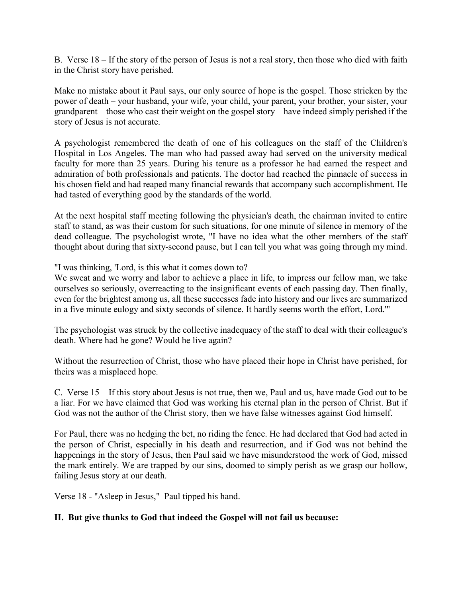B. Verse 18 – If the story of the person of Jesus is not a real story, then those who died with faith in the Christ story have perished.

Make no mistake about it Paul says, our only source of hope is the gospel. Those stricken by the power of death – your husband, your wife, your child, your parent, your brother, your sister, your grandparent – those who cast their weight on the gospel story – have indeed simply perished if the story of Jesus is not accurate.

A psychologist remembered the death of one of his colleagues on the staff of the Children's Hospital in Los Angeles. The man who had passed away had served on the university medical faculty for more than 25 years. During his tenure as a professor he had earned the respect and admiration of both professionals and patients. The doctor had reached the pinnacle of success in his chosen field and had reaped many financial rewards that accompany such accomplishment. He had tasted of everything good by the standards of the world.

At the next hospital staff meeting following the physician's death, the chairman invited to entire staff to stand, as was their custom for such situations, for one minute of silence in memory of the dead colleague. The psychologist wrote, "I have no idea what the other members of the staff thought about during that sixty-second pause, but I can tell you what was going through my mind.

"I was thinking, 'Lord, is this what it comes down to?

We sweat and we worry and labor to achieve a place in life, to impress our fellow man, we take ourselves so seriously, overreacting to the insignificant events of each passing day. Then finally, even for the brightest among us, all these successes fade into history and our lives are summarized in a five minute eulogy and sixty seconds of silence. It hardly seems worth the effort, Lord.'"

The psychologist was struck by the collective inadequacy of the staff to deal with their colleague's death. Where had he gone? Would he live again?

Without the resurrection of Christ, those who have placed their hope in Christ have perished, for theirs was a misplaced hope.

C. Verse 15 – If this story about Jesus is not true, then we, Paul and us, have made God out to be a liar. For we have claimed that God was working his eternal plan in the person of Christ. But if God was not the author of the Christ story, then we have false witnesses against God himself.

For Paul, there was no hedging the bet, no riding the fence. He had declared that God had acted in the person of Christ, especially in his death and resurrection, and if God was not behind the happenings in the story of Jesus, then Paul said we have misunderstood the work of God, missed the mark entirely. We are trapped by our sins, doomed to simply perish as we grasp our hollow, failing Jesus story at our death.

Verse 18 - "Asleep in Jesus," Paul tipped his hand.

## **II. But give thanks to God that indeed the Gospel will not fail us because:**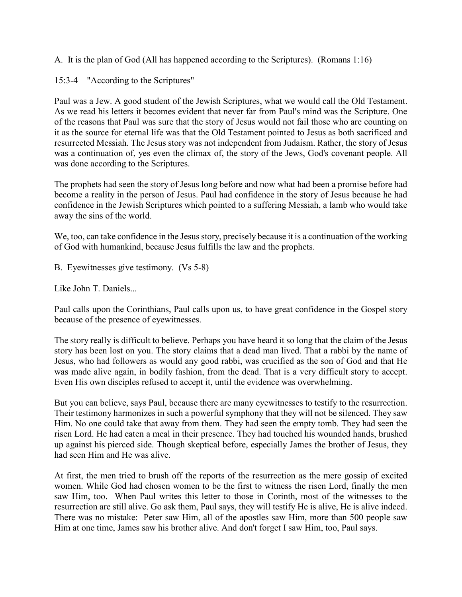A. It is the plan of God (All has happened according to the Scriptures). (Romans 1:16)

15:3-4 – "According to the Scriptures"

Paul was a Jew. A good student of the Jewish Scriptures, what we would call the Old Testament. As we read his letters it becomes evident that never far from Paul's mind was the Scripture. One of the reasons that Paul was sure that the story of Jesus would not fail those who are counting on it as the source for eternal life was that the Old Testament pointed to Jesus as both sacrificed and resurrected Messiah. The Jesus story was not independent from Judaism. Rather, the story of Jesus was a continuation of, yes even the climax of, the story of the Jews, God's covenant people. All was done according to the Scriptures.

The prophets had seen the story of Jesus long before and now what had been a promise before had become a reality in the person of Jesus. Paul had confidence in the story of Jesus because he had confidence in the Jewish Scriptures which pointed to a suffering Messiah, a lamb who would take away the sins of the world.

We, too, can take confidence in the Jesus story, precisely because it is a continuation of the working of God with humankind, because Jesus fulfills the law and the prophets.

B. Eyewitnesses give testimony. (Vs 5-8)

Like John T. Daniels...

Paul calls upon the Corinthians, Paul calls upon us, to have great confidence in the Gospel story because of the presence of eyewitnesses.

The story really is difficult to believe. Perhaps you have heard it so long that the claim of the Jesus story has been lost on you. The story claims that a dead man lived. That a rabbi by the name of Jesus, who had followers as would any good rabbi, was crucified as the son of God and that He was made alive again, in bodily fashion, from the dead. That is a very difficult story to accept. Even His own disciples refused to accept it, until the evidence was overwhelming.

But you can believe, says Paul, because there are many eyewitnesses to testify to the resurrection. Their testimony harmonizes in such a powerful symphony that they will not be silenced. They saw Him. No one could take that away from them. They had seen the empty tomb. They had seen the risen Lord. He had eaten a meal in their presence. They had touched his wounded hands, brushed up against his pierced side. Though skeptical before, especially James the brother of Jesus, they had seen Him and He was alive.

At first, the men tried to brush off the reports of the resurrection as the mere gossip of excited women. While God had chosen women to be the first to witness the risen Lord, finally the men saw Him, too. When Paul writes this letter to those in Corinth, most of the witnesses to the resurrection are still alive. Go ask them, Paul says, they will testify He is alive, He is alive indeed. There was no mistake: Peter saw Him, all of the apostles saw Him, more than 500 people saw Him at one time, James saw his brother alive. And don't forget I saw Him, too, Paul says.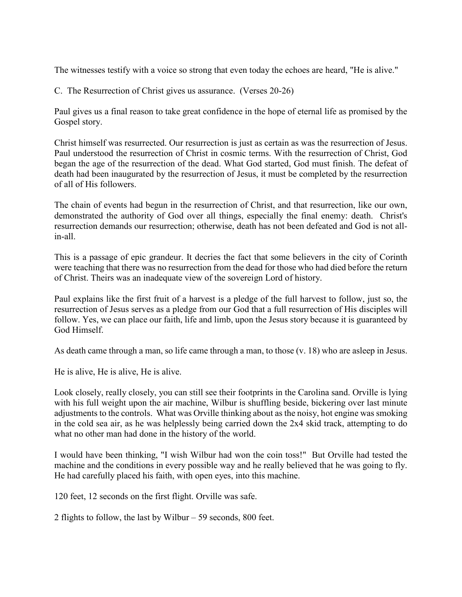The witnesses testify with a voice so strong that even today the echoes are heard, "He is alive."

C. The Resurrection of Christ gives us assurance. (Verses 20-26)

Paul gives us a final reason to take great confidence in the hope of eternal life as promised by the Gospel story.

Christ himself was resurrected. Our resurrection is just as certain as was the resurrection of Jesus. Paul understood the resurrection of Christ in cosmic terms. With the resurrection of Christ, God began the age of the resurrection of the dead. What God started, God must finish. The defeat of death had been inaugurated by the resurrection of Jesus, it must be completed by the resurrection of all of His followers.

The chain of events had begun in the resurrection of Christ, and that resurrection, like our own, demonstrated the authority of God over all things, especially the final enemy: death. Christ's resurrection demands our resurrection; otherwise, death has not been defeated and God is not allin-all.

This is a passage of epic grandeur. It decries the fact that some believers in the city of Corinth were teaching that there was no resurrection from the dead for those who had died before the return of Christ. Theirs was an inadequate view of the sovereign Lord of history.

Paul explains like the first fruit of a harvest is a pledge of the full harvest to follow, just so, the resurrection of Jesus serves as a pledge from our God that a full resurrection of His disciples will follow. Yes, we can place our faith, life and limb, upon the Jesus story because it is guaranteed by God Himself.

As death came through a man, so life came through a man, to those (v. 18) who are asleep in Jesus.

He is alive, He is alive, He is alive.

Look closely, really closely, you can still see their footprints in the Carolina sand. Orville is lying with his full weight upon the air machine, Wilbur is shuffling beside, bickering over last minute adjustments to the controls. What was Orville thinking about as the noisy, hot engine was smoking in the cold sea air, as he was helplessly being carried down the 2x4 skid track, attempting to do what no other man had done in the history of the world.

I would have been thinking, "I wish Wilbur had won the coin toss!" But Orville had tested the machine and the conditions in every possible way and he really believed that he was going to fly. He had carefully placed his faith, with open eyes, into this machine.

120 feet, 12 seconds on the first flight. Orville was safe.

2 flights to follow, the last by Wilbur – 59 seconds, 800 feet.